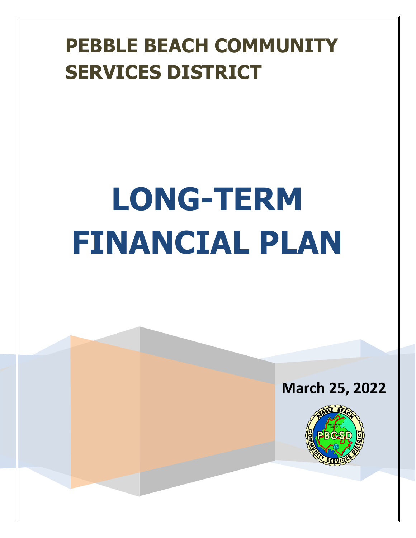# **PEBBLE BEACH COMMUNITY SERVICES DISTRICT**

# **LONG-TERM FINANCIAL PLAN**



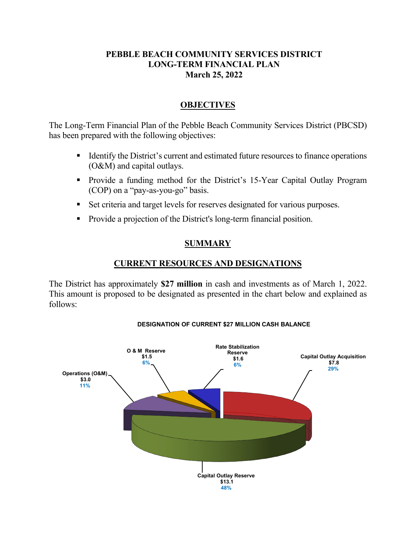#### **PEBBLE BEACH COMMUNITY SERVICES DISTRICT LONG-TERM FINANCIAL PLAN March 25, 2022**

#### **OBJECTIVES**

The Long-Term Financial Plan of the Pebble Beach Community Services District (PBCSD) has been prepared with the following objectives:

- Identify the District's current and estimated future resources to finance operations (O&M) and capital outlays.
- Provide a funding method for the District's 15-Year Capital Outlay Program (COP) on a "pay-as-you-go" basis.
- Set criteria and target levels for reserves designated for various purposes.
- Provide a projection of the District's long-term financial position.

#### **SUMMARY**

#### **CURRENT RESOURCES AND DESIGNATIONS**

The District has approximately **\$27 million** in cash and investments as of March 1, 2022. This amount is proposed to be designated as presented in the chart below and explained as follows:



#### **DESIGNATION OF CURRENT \$27 MILLION CASH BALANCE**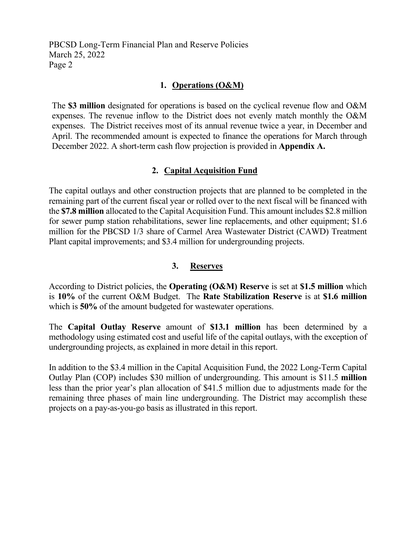#### **1. Operations (O&M)**

The **\$3 million** designated for operations is based on the cyclical revenue flow and O&M expenses. The revenue inflow to the District does not evenly match monthly the O&M expenses. The District receives most of its annual revenue twice a year, in December and April. The recommended amount is expected to finance the operations for March through December 2022. A short-term cash flow projection is provided in **Appendix A.** 

#### **2. Capital Acquisition Fund**

The capital outlays and other construction projects that are planned to be completed in the remaining part of the current fiscal year or rolled over to the next fiscal will be financed with the **\$7.8 million** allocated to the Capital Acquisition Fund. This amount includes \$2.8 million for sewer pump station rehabilitations, sewer line replacements, and other equipment; \$1.6 million for the PBCSD 1/3 share of Carmel Area Wastewater District (CAWD) Treatment Plant capital improvements; and \$3.4 million for undergrounding projects.

#### **3. Reserves**

According to District policies, the **Operating (O&M) Reserve** is set at **\$1.5 million** which is **10%** of the current O&M Budget. The **Rate Stabilization Reserve** is at **\$1.6 million** which is **50%** of the amount budgeted for wastewater operations.

The **Capital Outlay Reserve** amount of **\$13.1 million** has been determined by a methodology using estimated cost and useful life of the capital outlays, with the exception of undergrounding projects, as explained in more detail in this report.

In addition to the \$3.4 million in the Capital Acquisition Fund, the 2022 Long-Term Capital Outlay Plan (COP) includes \$30 million of undergrounding. This amount is \$11.5 **million** less than the prior year's plan allocation of \$41.5 million due to adjustments made for the remaining three phases of main line undergrounding. The District may accomplish these projects on a pay-as-you-go basis as illustrated in this report.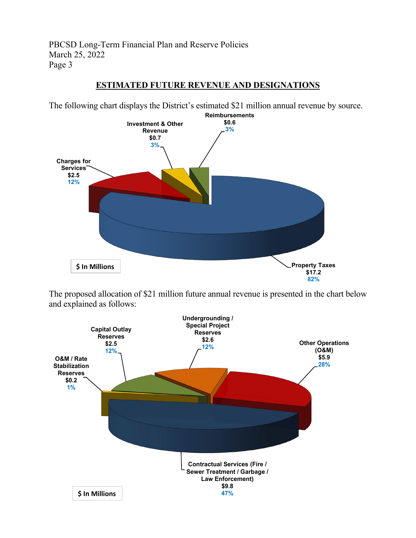#### **ESTIMATED FUTURE REVENUE AND DESIGNATIONS**



The following chart displays the District's estimated \$21 million annual revenue by source. 

The proposed allocation of \$21 million future annual revenue is presented in the chart below and explained as follows:

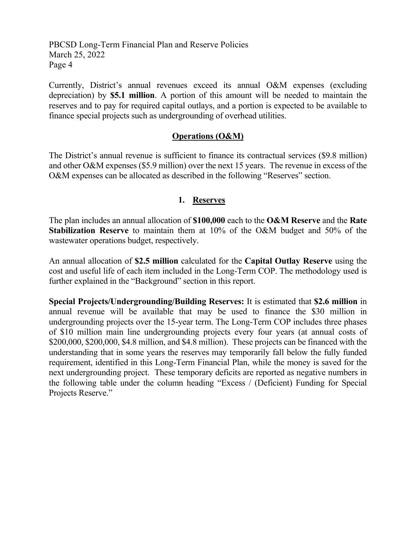Currently, District's annual revenues exceed its annual O&M expenses (excluding depreciation) by **\$5.1 million**. A portion of this amount will be needed to maintain the reserves and to pay for required capital outlays, and a portion is expected to be available to finance special projects such as undergrounding of overhead utilities.

#### **Operations (O&M)**

The District's annual revenue is sufficient to finance its contractual services (\$9.8 million) and other O&M expenses (\$5.9 million) over the next 15 years. The revenue in excess of the O&M expenses can be allocated as described in the following "Reserves" section.

#### **1. Reserves**

The plan includes an annual allocation of **\$100,000** each to the **O&M Reserve** and the **Rate Stabilization Reserve** to maintain them at 10% of the O&M budget and 50% of the wastewater operations budget, respectively.

An annual allocation of **\$2.5 million** calculated for the **Capital Outlay Reserve** using the cost and useful life of each item included in the Long-Term COP. The methodology used is further explained in the "Background" section in this report.

**Special Projects/Undergrounding/Building Reserves:** It is estimated that **\$2.6 million** in annual revenue will be available that may be used to finance the \$30 million in undergrounding projects over the 15-year term. The Long-Term COP includes three phases of \$10 million main line undergrounding projects every four years (at annual costs of \$200,000, \$200,000, \$4.8 million, and \$4.8 million). These projects can be financed with the understanding that in some years the reserves may temporarily fall below the fully funded requirement, identified in this Long-Term Financial Plan, while the money is saved for the next undergrounding project. These temporary deficits are reported as negative numbers in the following table under the column heading "Excess / (Deficient) Funding for Special Projects Reserve."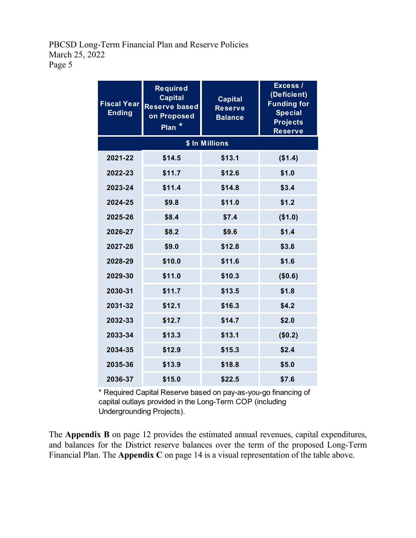| <b>Fiscal Year</b><br><b>Ending</b> | <b>Required</b><br><b>Capital</b><br><b>Reserve based</b><br>on Proposed<br>Plan <sup>*</sup> | <b>Capital</b><br><b>Reserve</b><br><b>Balance</b> | Excess /<br>(Deficient)<br><b>Funding for</b><br><b>Special</b><br><b>Projects</b><br><b>Reserve</b> |  |  |  |  |
|-------------------------------------|-----------------------------------------------------------------------------------------------|----------------------------------------------------|------------------------------------------------------------------------------------------------------|--|--|--|--|
|                                     |                                                                                               |                                                    |                                                                                                      |  |  |  |  |
| 2021-22                             | \$14.5                                                                                        | \$13.1                                             | (\$1.4)                                                                                              |  |  |  |  |
| 2022-23                             | \$11.7                                                                                        | \$12.6                                             | \$1.0                                                                                                |  |  |  |  |
| 2023-24                             | \$11.4                                                                                        | \$14.8                                             | \$3.4                                                                                                |  |  |  |  |
| 2024-25                             | \$9.8                                                                                         | \$11.0                                             | \$1.2                                                                                                |  |  |  |  |
| 2025-26                             | \$8.4                                                                                         | \$7.4                                              | (\$1.0)                                                                                              |  |  |  |  |
| 2026-27                             | \$8.2                                                                                         | \$9.6                                              | \$1.4                                                                                                |  |  |  |  |
| 2027-28                             | \$9.0                                                                                         | \$12.8                                             | \$3.8                                                                                                |  |  |  |  |
| 2028-29                             | \$10.0                                                                                        | \$11.6                                             | \$1.6                                                                                                |  |  |  |  |
| 2029-30                             | \$11.0                                                                                        | \$10.3                                             | (\$0.6)                                                                                              |  |  |  |  |
| 2030-31                             | \$11.7                                                                                        | \$13.5                                             | \$1.8                                                                                                |  |  |  |  |
| 2031-32                             | \$12.1                                                                                        | \$16.3                                             | \$4.2                                                                                                |  |  |  |  |
| 2032-33                             | \$12.7                                                                                        | \$14.7                                             | \$2.0                                                                                                |  |  |  |  |
| 2033-34                             | \$13.3                                                                                        | \$13.1                                             | (\$0.2)                                                                                              |  |  |  |  |
| 2034-35                             | \$12.9                                                                                        | \$15.3                                             | \$2.4                                                                                                |  |  |  |  |
| 2035-36                             | \$13.9                                                                                        | \$18.8                                             | \$5.0                                                                                                |  |  |  |  |
| 2036-37                             | \$15.0                                                                                        | \$22.5                                             | \$7.6                                                                                                |  |  |  |  |

\* Required Capital Reserve based on pay-as-you-go financing of capital outlays provided in the Long-Term COP (including Undergrounding Projects).

The **Appendix B** on page 12 provides the estimated annual revenues, capital expenditures, and balances for the District reserve balances over the term of the proposed Long-Term Financial Plan. The **Appendix C** on page 14 is a visual representation of the table above.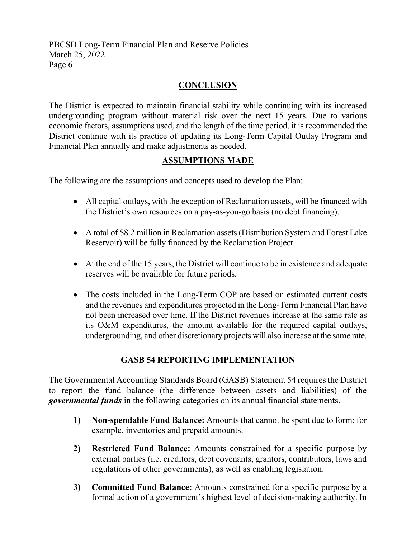#### **CONCLUSION**

The District is expected to maintain financial stability while continuing with its increased undergrounding program without material risk over the next 15 years. Due to various economic factors, assumptions used, and the length of the time period, it is recommended the District continue with its practice of updating its Long-Term Capital Outlay Program and Financial Plan annually and make adjustments as needed.

#### **ASSUMPTIONS MADE**

The following are the assumptions and concepts used to develop the Plan:

- All capital outlays, with the exception of Reclamation assets, will be financed with the District's own resources on a pay-as-you-go basis (no debt financing).
- A total of \$8.2 million in Reclamation assets (Distribution System and Forest Lake Reservoir) will be fully financed by the Reclamation Project.
- At the end of the 15 years, the District will continue to be in existence and adequate reserves will be available for future periods.
- The costs included in the Long-Term COP are based on estimated current costs and the revenues and expenditures projected in the Long-Term Financial Plan have not been increased over time. If the District revenues increase at the same rate as its O&M expenditures, the amount available for the required capital outlays, undergrounding, and other discretionary projects will also increase at the same rate.

## **GASB 54 REPORTING IMPLEMENTATION**

The Governmental Accounting Standards Board (GASB) Statement 54 requires the District to report the fund balance (the difference between assets and liabilities) of the *governmental funds* in the following categories on its annual financial statements.

- **1) Non-spendable Fund Balance:** Amounts that cannot be spent due to form; for example, inventories and prepaid amounts.
- **2) Restricted Fund Balance:** Amounts constrained for a specific purpose by external parties (i.e. creditors, debt covenants, grantors, contributors, laws and regulations of other governments), as well as enabling legislation.
- **3) Committed Fund Balance:** Amounts constrained for a specific purpose by a formal action of a government's highest level of decision-making authority. In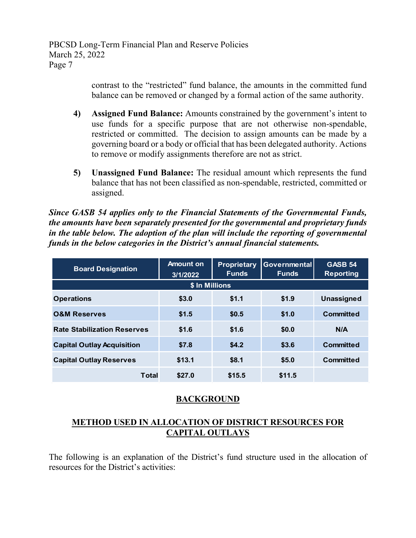> contrast to the "restricted" fund balance, the amounts in the committed fund balance can be removed or changed by a formal action of the same authority.

- **4) Assigned Fund Balance:** Amounts constrained by the government's intent to use funds for a specific purpose that are not otherwise non-spendable, restricted or committed. The decision to assign amounts can be made by a governing board or a body or official that has been delegated authority. Actions to remove or modify assignments therefore are not as strict.
- **5) Unassigned Fund Balance:** The residual amount which represents the fund balance that has not been classified as non-spendable, restricted, committed or assigned.

*Since GASB 54 applies only to the Financial Statements of the Governmental Funds, the amounts have been separately presented for the governmental and proprietary funds in the table below. The adoption of the plan will include the reporting of governmental funds in the below categories in the District's annual financial statements.*

| <b>Board Designation</b>           | Amount on<br>3/1/2022 | <b>Proprietary</b><br><b>Funds</b> | <b>Governmental</b><br><b>Funds</b> | <b>GASB 54</b><br><b>Reporting</b> |  |  |
|------------------------------------|-----------------------|------------------------------------|-------------------------------------|------------------------------------|--|--|
|                                    | \$ In Millions        |                                    |                                     |                                    |  |  |
| <b>Operations</b>                  | \$3.0                 | \$1.1                              | \$1.9                               | <b>Unassigned</b>                  |  |  |
| <b>O&amp;M Reserves</b>            | \$1.5                 | \$0.5                              | \$1.0                               | <b>Committed</b>                   |  |  |
| <b>Rate Stabilization Reserves</b> | \$1.6                 | \$1.6                              | \$0.0                               | N/A                                |  |  |
| <b>Capital Outlay Acquisition</b>  | \$7.8                 | \$4.2                              | \$3.6                               | <b>Committed</b>                   |  |  |
| <b>Capital Outlay Reserves</b>     | \$13.1                | \$8.1                              | \$5.0                               | <b>Committed</b>                   |  |  |
| <b>Total</b>                       | \$27.0                | \$15.5                             | \$11.5                              |                                    |  |  |

#### **BACKGROUND**

#### **METHOD USED IN ALLOCATION OF DISTRICT RESOURCES FOR CAPITAL OUTLAYS**

The following is an explanation of the District's fund structure used in the allocation of resources for the District's activities: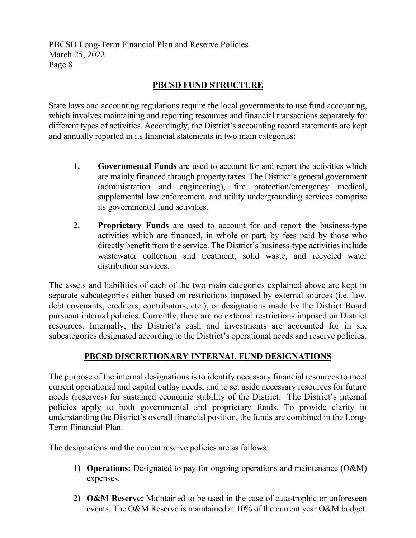#### **PBCSD FUND STRUCTURE**

State laws and accounting regulations require the local governments to use fund accounting, which involves maintaining and reporting resources and financial transactions separately for different types of activities. Accordingly, the District's accounting record statements are kept and annually reported in its financial statements in two main categories:

- **1. Governmental Funds** are used to account for and report the activities which are mainly financed through property taxes. The District's general government (administration and engineering), fire protection/emergency medical, supplemental law enforcement, and utility undergrounding services comprise its governmental fund activities.
- **2. Proprietary Funds** are used to account for and report the business-type activities which are financed, in whole or part, by fees paid by those who directly benefit from the service. The District's business-type activities include wastewater collection and treatment, solid waste, and recycled water distribution services.

The assets and liabilities of each of the two main categories explained above are kept in separate subcategories either based on restrictions imposed by external sources (i.e. law, debt covenants, creditors, contributors, etc.), or designations made by the District Board pursuant internal policies. Currently, there are no external restrictions imposed on District resources. Internally, the District's cash and investments are accounted for in six subcategories designated according to the District's operational needs and reserve policies.

## **PBCSD DISCRETIONARY INTERNAL FUND DESIGNATIONS**

The purpose of the internal designations is to identify necessary financial resources to meet current operational and capital outlay needs; and to set aside necessary resources for future needs (reserves) for sustained economic stability of the District. The District's internal policies apply to both governmental and proprietary funds. To provide clarity in understanding the District's overall financial position, the funds are combined in the Long-Term Financial Plan.

The designations and the current reserve policies are as follows:

- **1) Operations:** Designated to pay for ongoing operations and maintenance (O&M) expenses.
- **2) O&M Reserve:** Maintained to be used in the case of catastrophic or unforeseen events. The O&M Reserve is maintained at 10% of the current year O&M budget.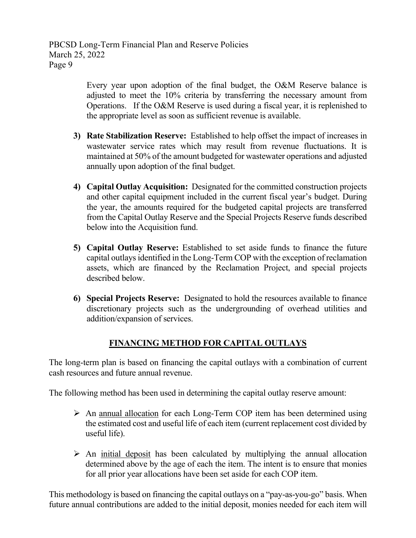> Every year upon adoption of the final budget, the O&M Reserve balance is adjusted to meet the 10% criteria by transferring the necessary amount from Operations. If the O&M Reserve is used during a fiscal year, it is replenished to the appropriate level as soon as sufficient revenue is available.

- **3) Rate Stabilization Reserve:** Established to help offset the impact of increases in wastewater service rates which may result from revenue fluctuations. It is maintained at 50% of the amount budgeted for wastewater operations and adjusted annually upon adoption of the final budget.
- **4) Capital Outlay Acquisition:** Designated for the committed construction projects and other capital equipment included in the current fiscal year's budget. During the year, the amounts required for the budgeted capital projects are transferred from the Capital Outlay Reserve and the Special Projects Reserve funds described below into the Acquisition fund.
- **5) Capital Outlay Reserve:** Established to set aside funds to finance the future capital outlays identified in the Long-Term COP with the exception of reclamation assets, which are financed by the Reclamation Project, and special projects described below.
- **6) Special Projects Reserve:** Designated to hold the resources available to finance discretionary projects such as the undergrounding of overhead utilities and addition/expansion of services.

## **FINANCING METHOD FOR CAPITAL OUTLAYS**

The long-term plan is based on financing the capital outlays with a combination of current cash resources and future annual revenue.

The following method has been used in determining the capital outlay reserve amount:

- $\triangleright$  An annual allocation for each Long-Term COP item has been determined using the estimated cost and useful life of each item (current replacement cost divided by useful life).
- $\triangleright$  An initial deposit has been calculated by multiplying the annual allocation determined above by the age of each the item. The intent is to ensure that monies for all prior year allocations have been set aside for each COP item.

This methodology is based on financing the capital outlays on a "pay-as-you-go" basis. When future annual contributions are added to the initial deposit, monies needed for each item will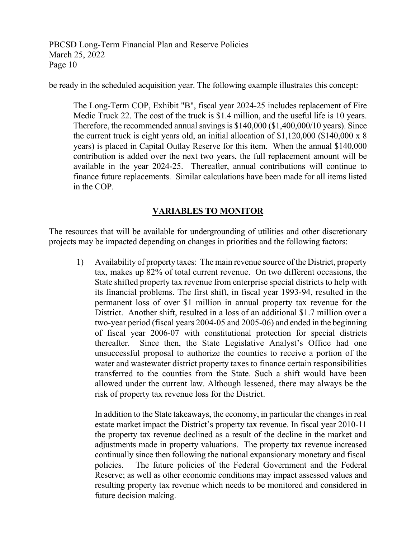be ready in the scheduled acquisition year. The following example illustrates this concept:

The Long-Term COP, Exhibit "B", fiscal year 2024-25 includes replacement of Fire Medic Truck 22. The cost of the truck is \$1.4 million, and the useful life is 10 years. Therefore, the recommended annual savings is  $$140,000 ($1,400,000/10 years)$ . Since the current truck is eight years old, an initial allocation of \$1,120,000 (\$140,000 x 8 years) is placed in Capital Outlay Reserve for this item. When the annual \$140,000 contribution is added over the next two years, the full replacement amount will be available in the year 2024-25. Thereafter, annual contributions will continue to finance future replacements. Similar calculations have been made for all items listed in the COP.

#### **VARIABLES TO MONITOR**

The resources that will be available for undergrounding of utilities and other discretionary projects may be impacted depending on changes in priorities and the following factors:

1) Availability of property taxes: The main revenue source of the District, property tax, makes up 82% of total current revenue. On two different occasions, the State shifted property tax revenue from enterprise special districts to help with its financial problems. The first shift, in fiscal year 1993-94, resulted in the permanent loss of over \$1 million in annual property tax revenue for the District. Another shift, resulted in a loss of an additional \$1.7 million over a two-year period (fiscal years 2004-05 and 2005-06) and ended in the beginning of fiscal year 2006-07 with constitutional protection for special districts thereafter. Since then, the State Legislative Analyst's Office had one unsuccessful proposal to authorize the counties to receive a portion of the water and wastewater district property taxes to finance certain responsibilities transferred to the counties from the State. Such a shift would have been allowed under the current law. Although lessened, there may always be the risk of property tax revenue loss for the District.

In addition to the State takeaways, the economy, in particular the changes in real estate market impact the District's property tax revenue. In fiscal year 2010-11 the property tax revenue declined as a result of the decline in the market and adjustments made in property valuations. The property tax revenue increased continually since then following the national expansionary monetary and fiscal policies. The future policies of the Federal Government and the Federal Reserve; as well as other economic conditions may impact assessed values and resulting property tax revenue which needs to be monitored and considered in future decision making.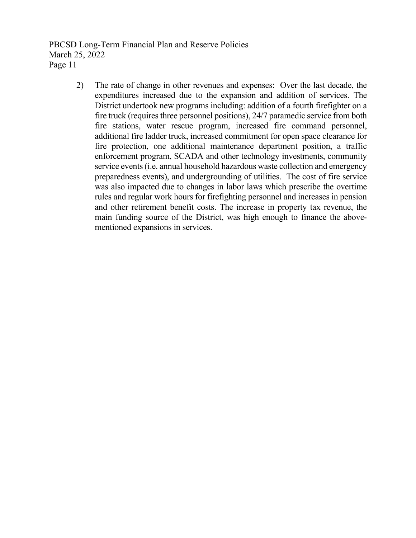> 2) The rate of change in other revenues and expenses: Over the last decade, the expenditures increased due to the expansion and addition of services. The District undertook new programs including: addition of a fourth firefighter on a fire truck (requires three personnel positions), 24/7 paramedic service from both fire stations, water rescue program, increased fire command personnel, additional fire ladder truck, increased commitment for open space clearance for fire protection, one additional maintenance department position, a traffic enforcement program, SCADA and other technology investments, community service events (i.e. annual household hazardous waste collection and emergency preparedness events), and undergrounding of utilities. The cost of fire service was also impacted due to changes in labor laws which prescribe the overtime rules and regular work hours for firefighting personnel and increases in pension and other retirement benefit costs. The increase in property tax revenue, the main funding source of the District, was high enough to finance the abovementioned expansions in services.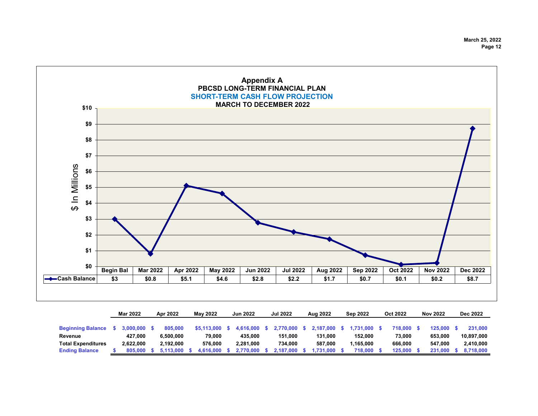**March 25, 2022 Page 12**



|                           | <b>Mar 2022</b> | Apr 2022  | May 2022 |             | <b>Jun 2022</b> |           | <b>Jul 2022</b> |              | Aug 2022 |           | <b>Sep 2022</b> |           | Oct 2022 |         | <b>Nov 2022</b> |         | Dec 2022 |            |
|---------------------------|-----------------|-----------|----------|-------------|-----------------|-----------|-----------------|--------------|----------|-----------|-----------------|-----------|----------|---------|-----------------|---------|----------|------------|
|                           |                 |           |          |             |                 |           |                 |              |          |           |                 |           |          |         |                 |         |          |            |
| <b>Beginning Balance</b>  | 3.000.000 S     | 805,000   |          | \$5.113.000 |                 | 4.616.000 |                 | 2,770,000 \$ |          | 2.187.000 |                 | 1.731.000 |          | 718.000 |                 | 125.000 |          | 231.000    |
| Revenue                   | 427.000         | 6.500.000 |          | 79.000      |                 | 435.000   |                 | 151.000      |          | 131.000   |                 | 152.000   |          | 73.000  |                 | 653.000 |          | 10.897.000 |
| <b>Total Expenditures</b> | 2.622.000       | 2.192.000 |          | 576.000     |                 | 2.281.000 |                 | 734.000      |          | 587.000   |                 | 1.165.000 |          | 666.000 |                 | 547.000 |          | 2.410.000  |
| <b>Ending Balance</b>     | 805,000 \$      | 5.113.000 |          | 4.616.000   |                 | 2.770.000 |                 | 2.187.000 \$ |          | .731.000  |                 | 718.000   |          | 125.000 |                 | 231.000 |          | 8.718.000  |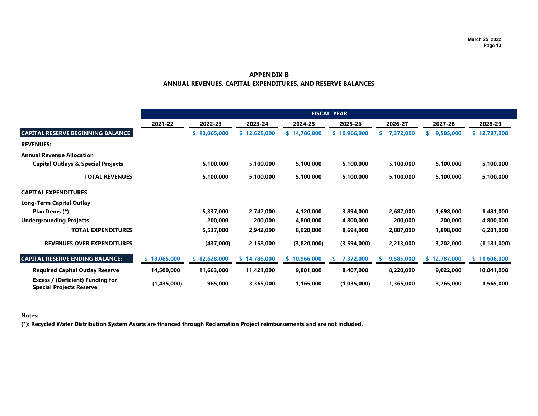#### **ANNUAL REVENUES, CAPITAL EXPENDITURES, AND RESERVE BALANCES APPENDIX B**

|                                                                            | <b>FISCAL YEAR</b> |              |                                     |              |                 |           |              |               |  |  |  |  |
|----------------------------------------------------------------------------|--------------------|--------------|-------------------------------------|--------------|-----------------|-----------|--------------|---------------|--|--|--|--|
|                                                                            | 2021-22            | 2022-23      | 2023-24                             | 2024-25      | 2025-26         | 2026-27   | 2027-28      | 2028-29       |  |  |  |  |
| <b>CAPITAL RESERVE BEGINNING BALANCE</b>                                   |                    | \$13,065,000 | \$12,628,000                        | \$14,786,000 | \$10,966,000    | 7,372,000 | 9,585,000    | \$12,787,000  |  |  |  |  |
| <b>REVENUES:</b>                                                           |                    |              |                                     |              |                 |           |              |               |  |  |  |  |
| <b>Annual Revenue Allocation</b>                                           |                    |              |                                     |              |                 |           |              |               |  |  |  |  |
| <b>Capital Outlays &amp; Special Projects</b>                              |                    | 5,100,000    | 5,100,000<br>5,100,000<br>5,100,000 |              | 5,100,000       | 5,100,000 | 5,100,000    |               |  |  |  |  |
| <b>TOTAL REVENUES</b>                                                      |                    | 5,100,000    | 5,100,000                           | 5,100,000    | 5,100,000       | 5,100,000 | 5,100,000    | 5,100,000     |  |  |  |  |
| <b>CAPITAL EXPENDITURES:</b>                                               |                    |              |                                     |              |                 |           |              |               |  |  |  |  |
| <b>Long-Term Capital Outlay</b>                                            |                    |              |                                     |              |                 |           |              |               |  |  |  |  |
| Plan Items (*)                                                             |                    | 5,337,000    | 2,742,000                           | 4,120,000    | 3,894,000       | 2,687,000 | 1,698,000    | 1,481,000     |  |  |  |  |
| <b>Undergrounding Projects</b>                                             |                    | 200,000      | 200,000                             | 4,800,000    | 4,800,000       | 200,000   | 200,000      | 4,800,000     |  |  |  |  |
| <b>TOTAL EXPENDITURES</b>                                                  |                    | 5,537,000    | 2,942,000                           | 8,920,000    | 8,694,000       | 2,887,000 | 1,898,000    | 6,281,000     |  |  |  |  |
| <b>REVENUES OVER EXPENDITURES</b>                                          |                    | (437,000)    | 2,158,000                           | (3,820,000)  | (3,594,000)     | 2,213,000 | 3,202,000    | (1, 181, 000) |  |  |  |  |
| <b>CAPITAL RESERVE ENDING BALANCE:</b>                                     | \$13,065,000       | \$12,628,000 | \$14,786,000                        | \$10,966,000 | 7,372,000<br>ъ. | 9,585,000 | \$12,787,000 | \$11,606,000  |  |  |  |  |
| <b>Required Capital Outlay Reserve</b>                                     | 14,500,000         | 11,663,000   | 11,421,000                          | 9,801,000    | 8,407,000       | 8,220,000 | 9,022,000    | 10,041,000    |  |  |  |  |
| <b>Excess / (Deficient) Funding for</b><br><b>Special Projects Reserve</b> | (1,435,000)        | 965,000      | 3,365,000                           | 1,165,000    | (1,035,000)     | 1,365,000 | 3,765,000    | 1,565,000     |  |  |  |  |

#### **Notes:**

**(\*): Recycled Water Distribution System Assets are financed through Reclamation Project reimbursements and are not included.**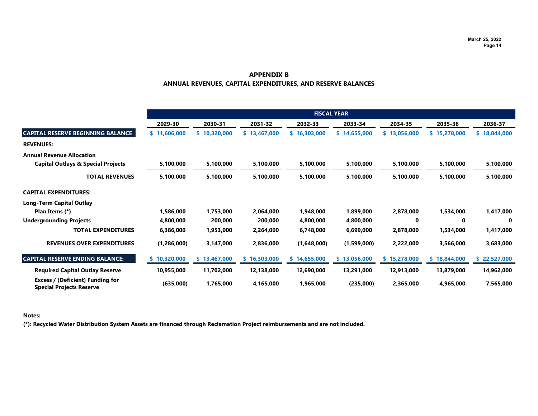#### **ANNUAL REVENUES, CAPITAL EXPENDITURES, AND RESERVE BALANCES APPENDIX B**

|                                                                            |              |              |              |              | <b>FISCAL YEAR</b> |              |              |                         |  |
|----------------------------------------------------------------------------|--------------|--------------|--------------|--------------|--------------------|--------------|--------------|-------------------------|--|
|                                                                            | 2029-30      | 2030-31      | 2031-32      | 2032-33      | 2033-34            | 2034-35      | 2035-36      | 2036-37<br>\$18,844,000 |  |
| <b>CAPITAL RESERVE BEGINNING BALANCE</b>                                   | \$11,606,000 | \$10,320,000 | \$13,467,000 | \$16,303,000 | \$14,655,000       | \$13,056,000 | \$15,278,000 |                         |  |
| <b>REVENUES:</b>                                                           |              |              |              |              |                    |              |              |                         |  |
| <b>Annual Revenue Allocation</b>                                           |              |              |              |              |                    |              |              |                         |  |
| <b>Capital Outlays &amp; Special Projects</b>                              | 5,100,000    | 5,100,000    | 5,100,000    | 5,100,000    | 5,100,000          | 5,100,000    | 5,100,000    | 5,100,000               |  |
| <b>TOTAL REVENUES</b>                                                      | 5,100,000    | 5,100,000    | 5,100,000    | 5,100,000    | 5,100,000          | 5,100,000    | 5,100,000    | 5,100,000               |  |
| <b>CAPITAL EXPENDITURES:</b>                                               |              |              |              |              |                    |              |              |                         |  |
| <b>Long-Term Capital Outlay</b>                                            |              |              |              |              |                    |              |              |                         |  |
| Plan Items (*)                                                             | 1,586,000    | 1,753,000    | 2,064,000    | 1,948,000    | 1,899,000          | 2,878,000    | 1,534,000    | 1,417,000               |  |
| <b>Undergrounding Projects</b>                                             | 4,800,000    | 200,000      | 200,000      | 4,800,000    | 4,800,000          | 0            | 0            | 0                       |  |
| <b>TOTAL EXPENDITURES</b>                                                  | 6,386,000    | 1,953,000    | 2,264,000    | 6,748,000    | 6,699,000          | 2,878,000    | 1,534,000    | 1,417,000               |  |
| <b>REVENUES OVER EXPENDITURES</b>                                          | (1,286,000)  | 3,147,000    | 2,836,000    | (1,648,000)  | (1,599,000)        | 2,222,000    | 3,566,000    | 3,683,000               |  |
| <b>CAPITAL RESERVE ENDING BALANCE:</b>                                     | \$10,320,000 | \$13,467,000 | \$16,303,000 | \$14,655,000 | \$13,056,000       | \$15,278,000 | \$18,844,000 | \$22,527,000            |  |
| <b>Required Capital Outlay Reserve</b>                                     | 10,955,000   | 11,702,000   | 12,138,000   | 12,690,000   | 13,291,000         | 12,913,000   | 13,879,000   | 14,962,000              |  |
| <b>Excess / (Deficient) Funding for</b><br><b>Special Projects Reserve</b> | (635,000)    | 1,765,000    | 4,165,000    | 1,965,000    | (235,000)          | 2,365,000    | 4,965,000    | 7,565,000               |  |

#### **Notes:**

**(\*): Recycled Water Distribution System Assets are financed through Reclamation Project reimbursements and are not included.**